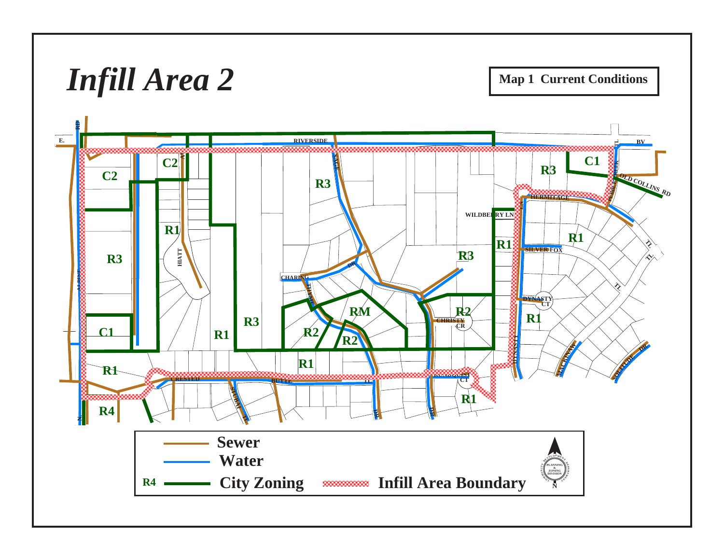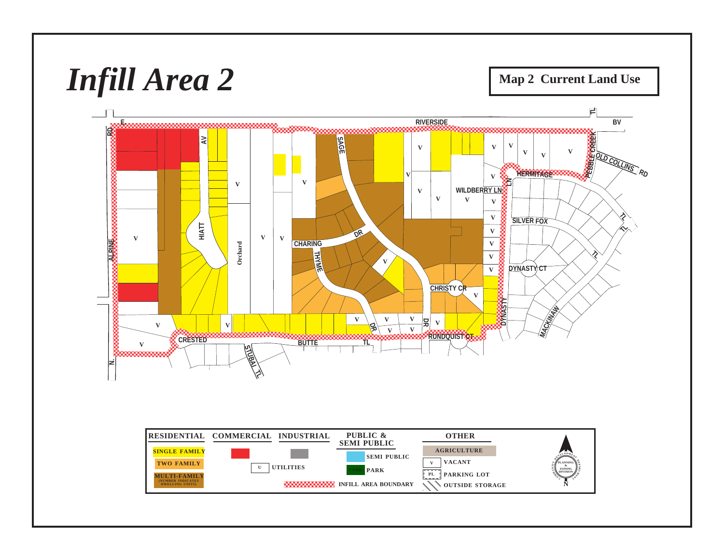